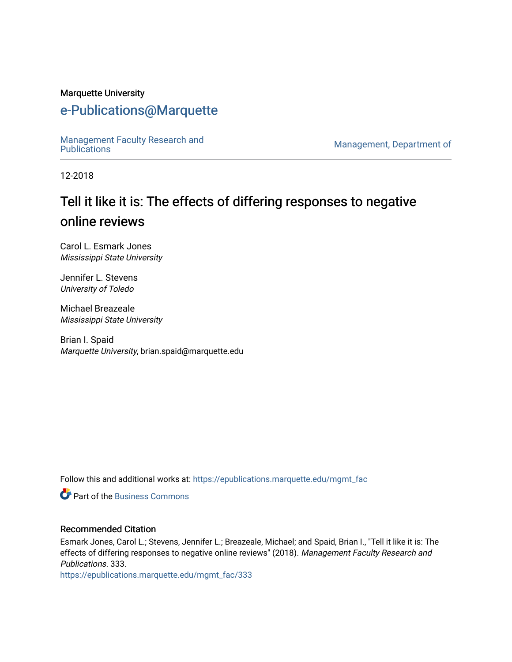#### Marquette University

### [e-Publications@Marquette](https://epublications.marquette.edu/)

Management Faculty Research and<br>Publications

Management, Department of

12-2018

# Tell it like it is: The effects of differing responses to negative online reviews

Carol L. Esmark Jones Mississippi State University

Jennifer L. Stevens University of Toledo

Michael Breazeale Mississippi State University

Brian I. Spaid Marquette University, brian.spaid@marquette.edu

Follow this and additional works at: [https://epublications.marquette.edu/mgmt\\_fac](https://epublications.marquette.edu/mgmt_fac?utm_source=epublications.marquette.edu%2Fmgmt_fac%2F333&utm_medium=PDF&utm_campaign=PDFCoverPages) 

**P** Part of the [Business Commons](http://network.bepress.com/hgg/discipline/622?utm_source=epublications.marquette.edu%2Fmgmt_fac%2F333&utm_medium=PDF&utm_campaign=PDFCoverPages)

#### Recommended Citation

Esmark Jones, Carol L.; Stevens, Jennifer L.; Breazeale, Michael; and Spaid, Brian I., "Tell it like it is: The effects of differing responses to negative online reviews" (2018). Management Faculty Research and Publications. 333.

[https://epublications.marquette.edu/mgmt\\_fac/333](https://epublications.marquette.edu/mgmt_fac/333?utm_source=epublications.marquette.edu%2Fmgmt_fac%2F333&utm_medium=PDF&utm_campaign=PDFCoverPages)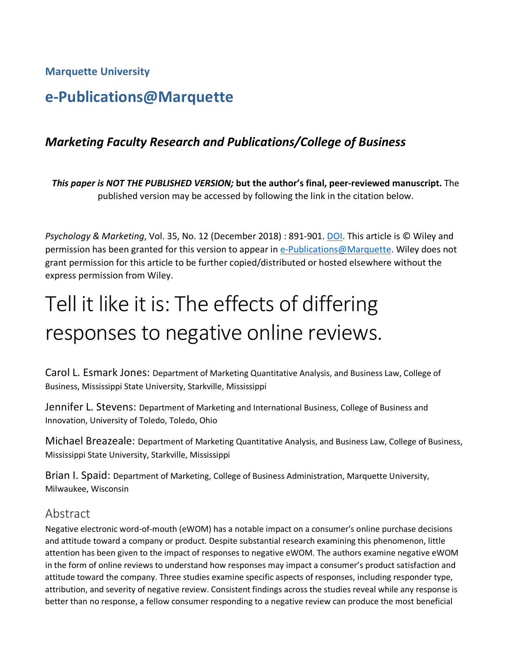**Marquette University**

## **e-Publications@Marquette**

### *Marketing Faculty Research and Publications/College of Business*

*This paper is NOT THE PUBLISHED VERSION;* **but the author's final, peer-reviewed manuscript.** The published version may be accessed by following the link in the citation below.

*Psychology & Marketing*, Vol. 35, No. 12 (December 2018) : 891-901. [DOI.](https://onlinelibrary.wiley.com/doi/full/10.1002/mar.21142) This article is © Wiley and permission has been granted for this version to appear in [e-Publications@Marquette.](http://epublications.marquette.edu/) Wiley does not grant permission for this article to be further copied/distributed or hosted elsewhere without the express permission from Wiley.

# Tell it like it is: The effects of differing responses to negative online reviews.

Carol L. Esmark Jones: Department of Marketing Quantitative Analysis, and Business Law, College of Business, Mississippi State University, Starkville, Mississippi

Jennifer L. Stevens: Department of Marketing and International Business, College of Business and Innovation, University of Toledo, Toledo, Ohio

Michael Breazeale: Department of Marketing Quantitative Analysis, and Business Law, College of Business, Mississippi State University, Starkville, Mississippi

Brian I. Spaid: Department of Marketing, College of Business Administration, Marquette University, Milwaukee, Wisconsin

### Abstract

Negative electronic word-of-mouth (eWOM) has a notable impact on a consumer's online purchase decisions and attitude toward a company or product. Despite substantial research examining this phenomenon, little attention has been given to the impact of responses to negative eWOM. The authors examine negative eWOM in the form of online reviews to understand how responses may impact a consumer's product satisfaction and attitude toward the company. Three studies examine specific aspects of responses, including responder type, attribution, and severity of negative review. Consistent findings across the studies reveal while any response is better than no response, a fellow consumer responding to a negative review can produce the most beneficial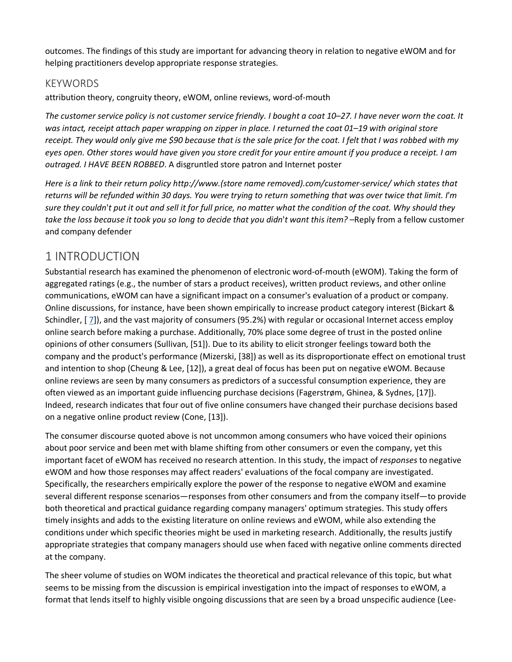outcomes. The findings of this study are important for advancing theory in relation to negative eWOM and for helping practitioners develop appropriate response strategies.

#### KEYWORDS

attribution theory, congruity theory, eWOM, online reviews, word-of-mouth

*The customer service policy is not customer service friendly. I bought a coat 10–27. I have never worn the coat. It was intact, receipt attach paper wrapping on zipper in place. I returned the coat 01–19 with original store receipt. They would only give me \$90 because that is the sale price for the coat. I felt that I was robbed with my eyes open. Other stores would have given you store credit for your entire amount if you produce a receipt. I am outraged. I HAVE BEEN ROBBED*. A disgruntled store patron and Internet poster

*Here is a link to their return policy http://www.(store name removed).com/customer‐service/ which states that returns will be refunded within 30 days. You were trying to return something that was over twice that limit. I*'*m sure they couldn*'*t put it out and sell it for full price, no matter what the condition of the coat. Why should they take the loss because it took you so long to decide that you didn*'*t want this item?* –Reply from a fellow customer and company defender

### [1 INTRODUCTION](https://0-web-a-ebscohost-com.libus.csd.mu.edu/ehost/detail/detail?vid=2&sid=6b388d0d-8a15-4626-885d-4670761afeb1%40sessionmgr4008&bdata=JnNpdGU9ZWhvc3QtbGl2ZQ%3d%3d#toc)

Substantial research has examined the phenomenon of electronic word-of-mouth (eWOM). Taking the form of aggregated ratings (e.g., the number of stars a product receives), written product reviews, and other online communications, eWOM can have a significant impact on a consumer's evaluation of a product or company. Online discussions, for instance, have been shown empirically to increase product category interest (Bickart & Schindler, [ [7\]](https://0-web-a-ebscohost-com.libus.csd.mu.edu/ehost/detail/detail?vid=2&sid=6b388d0d-8a15-4626-885d-4670761afeb1%40sessionmgr4008&bdata=JnNpdGU9ZWhvc3QtbGl2ZQ%3d%3d#bib7)), and the vast majority of consumers (95.2%) with regular or occasional Internet access employ online search before making a purchase. Additionally, 70% place some degree of trust in the posted online opinions of other consumers (Sullivan, [51]). Due to its ability to elicit stronger feelings toward both the company and the product's performance (Mizerski, [38]) as well as its disproportionate effect on emotional trust and intention to shop (Cheung & Lee, [12]), a great deal of focus has been put on negative eWOM. Because online reviews are seen by many consumers as predictors of a successful consumption experience, they are often viewed as an important guide influencing purchase decisions (Fagerstrøm, Ghinea, & Sydnes, [17]). Indeed, research indicates that four out of five online consumers have changed their purchase decisions based on a negative online product review (Cone, [13]).

The consumer discourse quoted above is not uncommon among consumers who have voiced their opinions about poor service and been met with blame shifting from other consumers or even the company, yet this important facet of eWOM has received no research attention. In this study, the impact of *responses* to negative eWOM and how those responses may affect readers' evaluations of the focal company are investigated. Specifically, the researchers empirically explore the power of the response to negative eWOM and examine several different response scenarios—responses from other consumers and from the company itself—to provide both theoretical and practical guidance regarding company managers' optimum strategies. This study offers timely insights and adds to the existing literature on online reviews and eWOM, while also extending the conditions under which specific theories might be used in marketing research. Additionally, the results justify appropriate strategies that company managers should use when faced with negative online comments directed at the company.

The sheer volume of studies on WOM indicates the theoretical and practical relevance of this topic, but what seems to be missing from the discussion is empirical investigation into the impact of responses to eWOM, a format that lends itself to highly visible ongoing discussions that are seen by a broad unspecific audience (Lee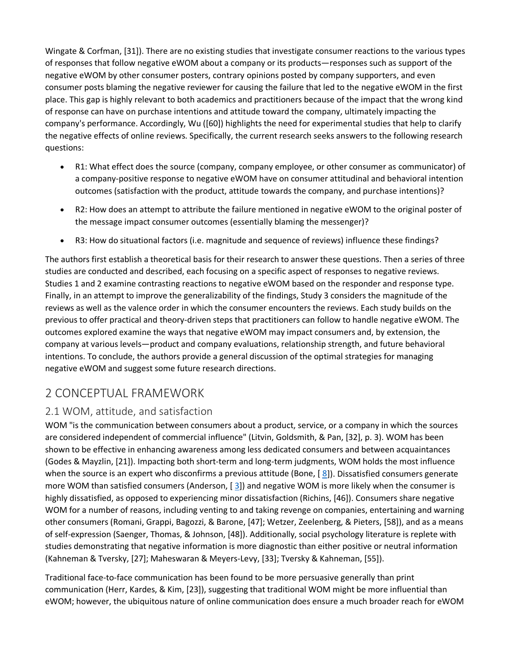Wingate & Corfman, [31]). There are no existing studies that investigate consumer reactions to the various types of responses that follow negative eWOM about a company or its products—responses such as support of the negative eWOM by other consumer posters, contrary opinions posted by company supporters, and even consumer posts blaming the negative reviewer for causing the failure that led to the negative eWOM in the first place. This gap is highly relevant to both academics and practitioners because of the impact that the wrong kind of response can have on purchase intentions and attitude toward the company, ultimately impacting the company's performance. Accordingly, Wu ([60]) highlights the need for experimental studies that help to clarify the negative effects of online reviews. Specifically, the current research seeks answers to the following research questions:

- R1: What effect does the source (company, company employee, or other consumer as communicator) of a company-positive response to negative eWOM have on consumer attitudinal and behavioral intention outcomes (satisfaction with the product, attitude towards the company, and purchase intentions)?
- R2: How does an attempt to attribute the failure mentioned in negative eWOM to the original poster of the message impact consumer outcomes (essentially blaming the messenger)?
- R3: How do situational factors (i.e. magnitude and sequence of reviews) influence these findings?

The authors first establish a theoretical basis for their research to answer these questions. Then a series of three studies are conducted and described, each focusing on a specific aspect of responses to negative reviews. Studies 1 and 2 examine contrasting reactions to negative eWOM based on the responder and response type. Finally, in an attempt to improve the generalizability of the findings, Study 3 considers the magnitude of the reviews as well as the valence order in which the consumer encounters the reviews. Each study builds on the previous to offer practical and theory-driven steps that practitioners can follow to handle negative eWOM. The outcomes explored examine the ways that negative eWOM may impact consumers and, by extension, the company at various levels—product and company evaluations, relationship strength, and future behavioral intentions. To conclude, the authors provide a general discussion of the optimal strategies for managing negative eWOM and suggest some future research directions.

### [2 CONCEPTUAL FRAMEWORK](https://0-web-a-ebscohost-com.libus.csd.mu.edu/ehost/detail/detail?vid=2&sid=6b388d0d-8a15-4626-885d-4670761afeb1%40sessionmgr4008&bdata=JnNpdGU9ZWhvc3QtbGl2ZQ%3d%3d#toc)

### [2.1 WOM, attitude, and satisfaction](https://0-web-a-ebscohost-com.libus.csd.mu.edu/ehost/detail/detail?vid=2&sid=6b388d0d-8a15-4626-885d-4670761afeb1%40sessionmgr4008&bdata=JnNpdGU9ZWhvc3QtbGl2ZQ%3d%3d#toc)

WOM "is the communication between consumers about a product, service, or a company in which the sources are considered independent of commercial influence" (Litvin, Goldsmith, & Pan, [32], p. 3). WOM has been shown to be effective in enhancing awareness among less dedicated consumers and between acquaintances (Godes & Mayzlin, [21]). Impacting both short-term and long-term judgments, WOM holds the most influence when the source is an expert who disconfirms a previous attitude (Bone, [[8\]](https://0-web-a-ebscohost-com.libus.csd.mu.edu/ehost/detail/detail?vid=2&sid=6b388d0d-8a15-4626-885d-4670761afeb1%40sessionmgr4008&bdata=JnNpdGU9ZWhvc3QtbGl2ZQ%3d%3d#bib8)). Dissatisfied consumers generate more WOM than satisfied consumers (Anderson, [[3\]](https://0-web-a-ebscohost-com.libus.csd.mu.edu/ehost/detail/detail?vid=2&sid=6b388d0d-8a15-4626-885d-4670761afeb1%40sessionmgr4008&bdata=JnNpdGU9ZWhvc3QtbGl2ZQ%3d%3d#bib3)) and negative WOM is more likely when the consumer is highly dissatisfied, as opposed to experiencing minor dissatisfaction (Richins, [46]). Consumers share negative WOM for a number of reasons, including venting to and taking revenge on companies, entertaining and warning other consumers (Romani, Grappi, Bagozzi, & Barone, [47]; Wetzer, Zeelenberg, & Pieters, [58]), and as a means of self-expression (Saenger, Thomas, & Johnson, [48]). Additionally, social psychology literature is replete with studies demonstrating that negative information is more diagnostic than either positive or neutral information (Kahneman & Tversky, [27]; Maheswaran & Meyers-Levy, [33]; Tversky & Kahneman, [55]).

Traditional face-to-face communication has been found to be more persuasive generally than print communication (Herr, Kardes, & Kim, [23]), suggesting that traditional WOM might be more influential than eWOM; however, the ubiquitous nature of online communication does ensure a much broader reach for eWOM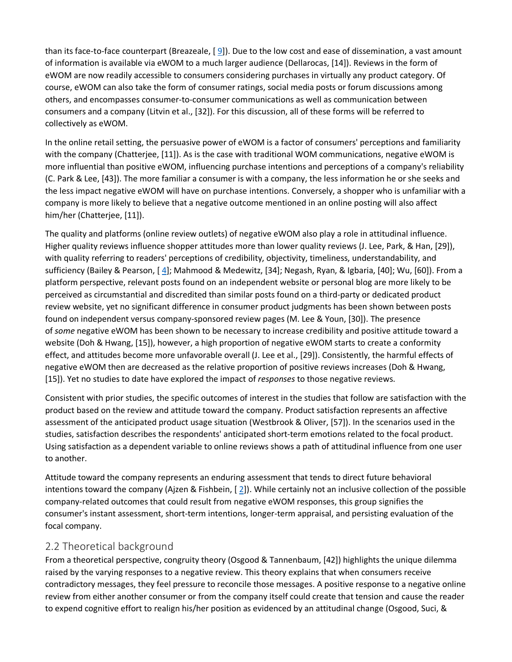than its face-to-face counterpart (Breazeale,  $[9]$  $[9]$ ). Due to the low cost and ease of dissemination, a vast amount of information is available via eWOM to a much larger audience (Dellarocas, [14]). Reviews in the form of eWOM are now readily accessible to consumers considering purchases in virtually any product category. Of course, eWOM can also take the form of consumer ratings, social media posts or forum discussions among others, and encompasses consumer-to-consumer communications as well as communication between consumers and a company (Litvin et al., [32]). For this discussion, all of these forms will be referred to collectively as eWOM.

In the online retail setting, the persuasive power of eWOM is a factor of consumers' perceptions and familiarity with the company (Chatterjee, [11]). As is the case with traditional WOM communications, negative eWOM is more influential than positive eWOM, influencing purchase intentions and perceptions of a company's reliability (C. Park & Lee, [43]). The more familiar a consumer is with a company, the less information he or she seeks and the less impact negative eWOM will have on purchase intentions. Conversely, a shopper who is unfamiliar with a company is more likely to believe that a negative outcome mentioned in an online posting will also affect him/her (Chatterjee, [11]).

The quality and platforms (online review outlets) of negative eWOM also play a role in attitudinal influence. Higher quality reviews influence shopper attitudes more than lower quality reviews (J. Lee, Park, & Han, [29]), with quality referring to readers' perceptions of credibility, objectivity, timeliness, understandability, and sufficiency (Bailey & Pearson, [ [4\]](https://0-web-a-ebscohost-com.libus.csd.mu.edu/ehost/detail/detail?vid=2&sid=6b388d0d-8a15-4626-885d-4670761afeb1%40sessionmgr4008&bdata=JnNpdGU9ZWhvc3QtbGl2ZQ%3d%3d#bib4); Mahmood & Medewitz, [34]; Negash, Ryan, & Igbaria, [40]; Wu, [60]). From a platform perspective, relevant posts found on an independent website or personal blog are more likely to be perceived as circumstantial and discredited than similar posts found on a third-party or dedicated product review website, yet no significant difference in consumer product judgments has been shown between posts found on independent versus company-sponsored review pages (M. Lee & Youn, [30]). The presence of *some* negative eWOM has been shown to be necessary to increase credibility and positive attitude toward a website (Doh & Hwang, [15]), however, a high proportion of negative eWOM starts to create a conformity effect, and attitudes become more unfavorable overall (J. Lee et al., [29]). Consistently, the harmful effects of negative eWOM then are decreased as the relative proportion of positive reviews increases (Doh & Hwang, [15]). Yet no studies to date have explored the impact of *responses* to those negative reviews.

Consistent with prior studies, the specific outcomes of interest in the studies that follow are satisfaction with the product based on the review and attitude toward the company. Product satisfaction represents an affective assessment of the anticipated product usage situation (Westbrook & Oliver, [57]). In the scenarios used in the studies, satisfaction describes the respondents' anticipated short-term emotions related to the focal product. Using satisfaction as a dependent variable to online reviews shows a path of attitudinal influence from one user to another.

Attitude toward the company represents an enduring assessment that tends to direct future behavioral intentions toward the company (Ajzen & Fishbein, [ [2\]](https://0-web-a-ebscohost-com.libus.csd.mu.edu/ehost/detail/detail?vid=2&sid=6b388d0d-8a15-4626-885d-4670761afeb1%40sessionmgr4008&bdata=JnNpdGU9ZWhvc3QtbGl2ZQ%3d%3d#bib2)). While certainly not an inclusive collection of the possible company-related outcomes that could result from negative eWOM responses, this group signifies the consumer's instant assessment, short-term intentions, longer-term appraisal, and persisting evaluation of the focal company.

### [2.2 Theoretical background](https://0-web-a-ebscohost-com.libus.csd.mu.edu/ehost/detail/detail?vid=2&sid=6b388d0d-8a15-4626-885d-4670761afeb1%40sessionmgr4008&bdata=JnNpdGU9ZWhvc3QtbGl2ZQ%3d%3d#toc)

From a theoretical perspective, congruity theory (Osgood & Tannenbaum, [42]) highlights the unique dilemma raised by the varying responses to a negative review. This theory explains that when consumers receive contradictory messages, they feel pressure to reconcile those messages. A positive response to a negative online review from either another consumer or from the company itself could create that tension and cause the reader to expend cognitive effort to realign his/her position as evidenced by an attitudinal change (Osgood, Suci, &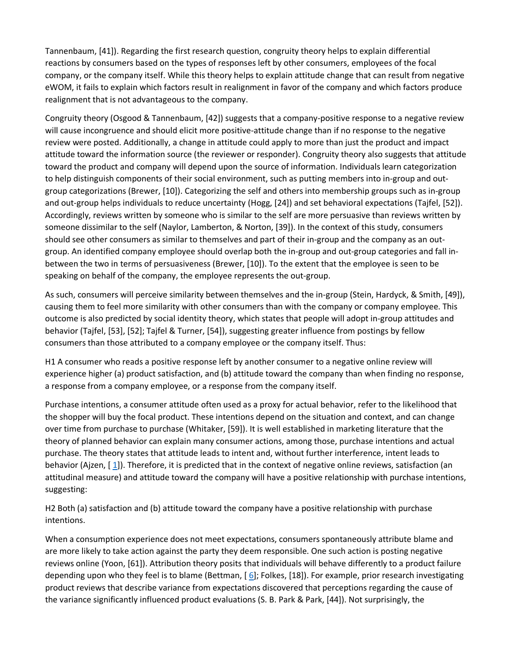Tannenbaum, [41]). Regarding the first research question, congruity theory helps to explain differential reactions by consumers based on the types of responses left by other consumers, employees of the focal company, or the company itself. While this theory helps to explain attitude change that can result from negative eWOM, it fails to explain which factors result in realignment in favor of the company and which factors produce realignment that is not advantageous to the company.

Congruity theory (Osgood & Tannenbaum, [42]) suggests that a company-positive response to a negative review will cause incongruence and should elicit more positive-attitude change than if no response to the negative review were posted. Additionally, a change in attitude could apply to more than just the product and impact attitude toward the information source (the reviewer or responder). Congruity theory also suggests that attitude toward the product and company will depend upon the source of information. Individuals learn categorization to help distinguish components of their social environment, such as putting members into in-group and outgroup categorizations (Brewer, [10]). Categorizing the self and others into membership groups such as in-group and out-group helps individuals to reduce uncertainty (Hogg, [24]) and set behavioral expectations (Tajfel, [52]). Accordingly, reviews written by someone who is similar to the self are more persuasive than reviews written by someone dissimilar to the self (Naylor, Lamberton, & Norton, [39]). In the context of this study, consumers should see other consumers as similar to themselves and part of their in-group and the company as an outgroup. An identified company employee should overlap both the in-group and out-group categories and fall inbetween the two in terms of persuasiveness (Brewer, [10]). To the extent that the employee is seen to be speaking on behalf of the company, the employee represents the out-group.

As such, consumers will perceive similarity between themselves and the in-group (Stein, Hardyck, & Smith, [49]), causing them to feel more similarity with other consumers than with the company or company employee. This outcome is also predicted by social identity theory, which states that people will adopt in-group attitudes and behavior (Tajfel, [53], [52]; Tajfel & Turner, [54]), suggesting greater influence from postings by fellow consumers than those attributed to a company employee or the company itself. Thus:

[H1](https://0-web-a-ebscohost-com.libus.csd.mu.edu/ehost/detail/detail?vid=2&sid=6b388d0d-8a15-4626-885d-4670761afeb1%40sessionmgr4008&bdata=JnNpdGU9ZWhvc3QtbGl2ZQ%3d%3d#toc) A consumer who reads a positive response left by another consumer to a negative online review will experience higher (a) product satisfaction, and (b) attitude toward the company than when finding no response, a response from a company employee, or a response from the company itself.

Purchase intentions, a consumer attitude often used as a proxy for actual behavior, refer to the likelihood that the shopper will buy the focal product. These intentions depend on the situation and context, and can change over time from purchase to purchase (Whitaker, [59]). It is well established in marketing literature that the theory of planned behavior can explain many consumer actions, among those, purchase intentions and actual purchase. The theory states that attitude leads to intent and, without further interference, intent leads to behavior (Ajzen, [ [1\]](https://0-web-a-ebscohost-com.libus.csd.mu.edu/ehost/detail/detail?vid=2&sid=6b388d0d-8a15-4626-885d-4670761afeb1%40sessionmgr4008&bdata=JnNpdGU9ZWhvc3QtbGl2ZQ%3d%3d#bib1)). Therefore, it is predicted that in the context of negative online reviews, satisfaction (an attitudinal measure) and attitude toward the company will have a positive relationship with purchase intentions, suggesting:

[H2](https://0-web-a-ebscohost-com.libus.csd.mu.edu/ehost/detail/detail?vid=2&sid=6b388d0d-8a15-4626-885d-4670761afeb1%40sessionmgr4008&bdata=JnNpdGU9ZWhvc3QtbGl2ZQ%3d%3d#toc) Both (a) satisfaction and (b) attitude toward the company have a positive relationship with purchase intentions.

When a consumption experience does not meet expectations, consumers spontaneously attribute blame and are more likely to take action against the party they deem responsible. One such action is posting negative reviews online (Yoon, [61]). Attribution theory posits that individuals will behave differently to a product failure depending upon who they feel is to blame (Bettman, [ [6\]](https://0-web-a-ebscohost-com.libus.csd.mu.edu/ehost/detail/detail?vid=2&sid=6b388d0d-8a15-4626-885d-4670761afeb1%40sessionmgr4008&bdata=JnNpdGU9ZWhvc3QtbGl2ZQ%3d%3d#bib6); Folkes, [18]). For example, prior research investigating product reviews that describe variance from expectations discovered that perceptions regarding the cause of the variance significantly influenced product evaluations (S. B. Park & Park, [44]). Not surprisingly, the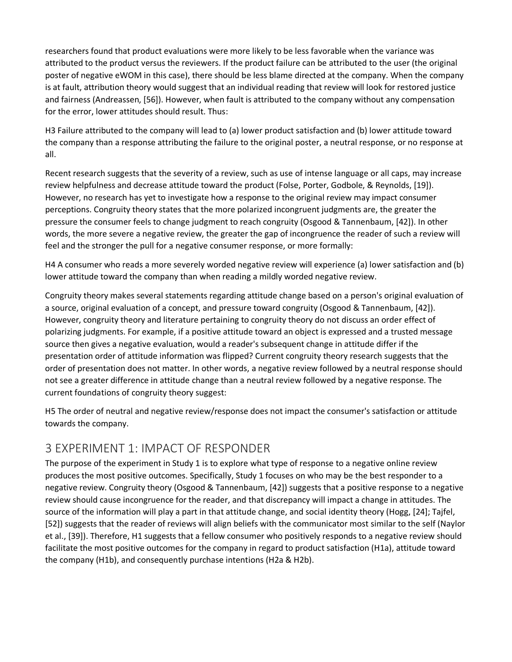researchers found that product evaluations were more likely to be less favorable when the variance was attributed to the product versus the reviewers. If the product failure can be attributed to the user (the original poster of negative eWOM in this case), there should be less blame directed at the company. When the company is at fault, attribution theory would suggest that an individual reading that review will look for restored justice and fairness (Andreassen, [56]). However, when fault is attributed to the company without any compensation for the error, lower attitudes should result. Thus:

[H3](https://0-web-a-ebscohost-com.libus.csd.mu.edu/ehost/detail/detail?vid=2&sid=6b388d0d-8a15-4626-885d-4670761afeb1%40sessionmgr4008&bdata=JnNpdGU9ZWhvc3QtbGl2ZQ%3d%3d#toc) Failure attributed to the company will lead to (a) lower product satisfaction and (b) lower attitude toward the company than a response attributing the failure to the original poster, a neutral response, or no response at all.

Recent research suggests that the severity of a review, such as use of intense language or all caps, may increase review helpfulness and decrease attitude toward the product (Folse, Porter, Godbole, & Reynolds, [19]). However, no research has yet to investigate how a response to the original review may impact consumer perceptions. Congruity theory states that the more polarized incongruent judgments are, the greater the pressure the consumer feels to change judgment to reach congruity (Osgood & Tannenbaum, [42]). In other words, the more severe a negative review, the greater the gap of incongruence the reader of such a review will feel and the stronger the pull for a negative consumer response, or more formally:

[H4](https://0-web-a-ebscohost-com.libus.csd.mu.edu/ehost/detail/detail?vid=2&sid=6b388d0d-8a15-4626-885d-4670761afeb1%40sessionmgr4008&bdata=JnNpdGU9ZWhvc3QtbGl2ZQ%3d%3d#toc) A consumer who reads a more severely worded negative review will experience (a) lower satisfaction and (b) lower attitude toward the company than when reading a mildly worded negative review.

Congruity theory makes several statements regarding attitude change based on a person's original evaluation of a source, original evaluation of a concept, and pressure toward congruity (Osgood & Tannenbaum, [42]). However, congruity theory and literature pertaining to congruity theory do not discuss an order effect of polarizing judgments. For example, if a positive attitude toward an object is expressed and a trusted message source then gives a negative evaluation, would a reader's subsequent change in attitude differ if the presentation order of attitude information was flipped? Current congruity theory research suggests that the order of presentation does not matter. In other words, a negative review followed by a neutral response should not see a greater difference in attitude change than a neutral review followed by a negative response. The current foundations of congruity theory suggest:

[H5](https://0-web-a-ebscohost-com.libus.csd.mu.edu/ehost/detail/detail?vid=2&sid=6b388d0d-8a15-4626-885d-4670761afeb1%40sessionmgr4008&bdata=JnNpdGU9ZWhvc3QtbGl2ZQ%3d%3d#toc) The order of neutral and negative review/response does not impact the consumer's satisfaction or attitude towards the company.

### [3 EXPERIMENT 1: IMPACT OF RESPONDER](https://0-web-a-ebscohost-com.libus.csd.mu.edu/ehost/detail/detail?vid=2&sid=6b388d0d-8a15-4626-885d-4670761afeb1%40sessionmgr4008&bdata=JnNpdGU9ZWhvc3QtbGl2ZQ%3d%3d#toc)

The purpose of the experiment in Study 1 is to explore what type of response to a negative online review produces the most positive outcomes. Specifically, Study 1 focuses on who may be the best responder to a negative review. Congruity theory (Osgood & Tannenbaum, [42]) suggests that a positive response to a negative review should cause incongruence for the reader, and that discrepancy will impact a change in attitudes. The source of the information will play a part in that attitude change, and social identity theory (Hogg, [24]; Tajfel, [52]) suggests that the reader of reviews will align beliefs with the communicator most similar to the self (Naylor et al., [39]). Therefore, H1 suggests that a fellow consumer who positively responds to a negative review should facilitate the most positive outcomes for the company in regard to product satisfaction (H1a), attitude toward the company (H1b), and consequently purchase intentions (H2a & H2b).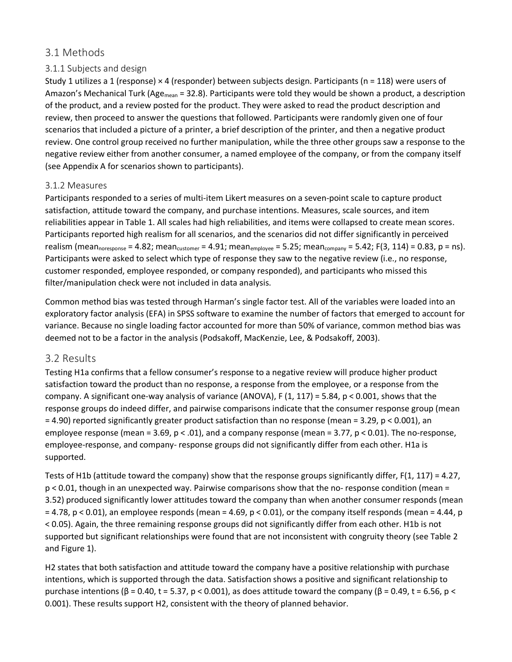### 3.1 Methods

### 3.1.1 Subjects and design

Study 1 utilizes a 1 (response)  $\times$  4 (responder) between subjects design. Participants (n = 118) were users of Amazon's Mechanical Turk (Age<sub>mean</sub> = 32.8). Participants were told they would be shown a product, a description of the product, and a review posted for the product. They were asked to read the product description and review, then proceed to answer the questions that followed. Participants were randomly given one of four scenarios that included a picture of a printer, a brief description of the printer, and then a negative product review. One control group received no further manipulation, while the three other groups saw a response to the negative review either from another consumer, a named employee of the company, or from the company itself (see Appendix A for scenarios shown to participants).

#### 3.1.2 Measures

Participants responded to a series of multi-item Likert measures on a seven-point scale to capture product satisfaction, attitude toward the company, and purchase intentions. Measures, scale sources, and item reliabilities appear in Table 1. All scales had high reliabilities, and items were collapsed to create mean scores. Participants reported high realism for all scenarios, and the scenarios did not differ significantly in perceived realism (mean<sub>noresponse</sub> = 4.82; mean<sub>customer</sub> = 4.91; mean<sub>employee</sub> = 5.25; mean<sub>company</sub> = 5.42; F(3, 114) = 0.83, p = ns). Participants were asked to select which type of response they saw to the negative review (i.e., no response, customer responded, employee responded, or company responded), and participants who missed this filter/manipulation check were not included in data analysis.

Common method bias was tested through Harman's single factor test. All of the variables were loaded into an exploratory factor analysis (EFA) in SPSS software to examine the number of factors that emerged to account for variance. Because no single loading factor accounted for more than 50% of variance, common method bias was deemed not to be a factor in the analysis (Podsakoff, MacKenzie, Lee, & Podsakoff, 2003).

### 3.2 Results

Testing H1a confirms that a fellow consumer's response to a negative review will produce higher product satisfaction toward the product than no response, a response from the employee, or a response from the company. A significant one-way analysis of variance (ANOVA), F  $(1, 117) = 5.84$ , p < 0.001, shows that the response groups do indeed differ, and pairwise comparisons indicate that the consumer response group (mean = 4.90) reported significantly greater product satisfaction than no response (mean = 3.29, p < 0.001), an employee response (mean =  $3.69$ ,  $p < .01$ ), and a company response (mean =  $3.77$ ,  $p < 0.01$ ). The no-response, employee-response, and company- response groups did not significantly differ from each other. H1a is supported.

Tests of H1b (attitude toward the company) show that the response groups significantly differ,  $F(1, 117) = 4.27$ , p < 0.01, though in an unexpected way. Pairwise comparisons show that the no- response condition (mean = 3.52) produced significantly lower attitudes toward the company than when another consumer responds (mean  $= 4.78$ , p < 0.01), an employee responds (mean  $= 4.69$ , p < 0.01), or the company itself responds (mean  $= 4.44$ , p < 0.05). Again, the three remaining response groups did not significantly differ from each other. H1b is not supported but significant relationships were found that are not inconsistent with congruity theory (see Table 2 and Figure 1).

H2 states that both satisfaction and attitude toward the company have a positive relationship with purchase intentions, which is supported through the data. Satisfaction shows a positive and significant relationship to purchase intentions (β = 0.40, t = 5.37, p < 0.001), as does attitude toward the company (β = 0.49, t = 6.56, p < 0.001). These results support H2, consistent with the theory of planned behavior.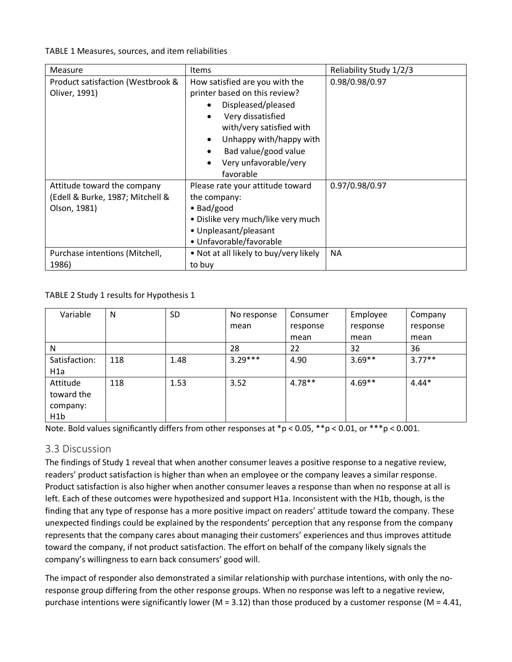TABLE 1 Measures, sources, and item reliabilities

| <b>Measure</b>                                                                  | Items                                                                                                                                                                                                                                | Reliability Study 1/2/3 |
|---------------------------------------------------------------------------------|--------------------------------------------------------------------------------------------------------------------------------------------------------------------------------------------------------------------------------------|-------------------------|
| Product satisfaction (Westbrook &<br>Oliver, 1991)                              | How satisfied are you with the<br>printer based on this review?<br>Displeased/pleased<br>Very dissatisfied<br>with/very satisfied with<br>Unhappy with/happy with<br>Bad value/good value<br>٠<br>Very unfavorable/very<br>favorable | 0.98/0.98/0.97          |
| Attitude toward the company<br>(Edell & Burke, 1987; Mitchell &<br>Olson, 1981) | Please rate your attitude toward<br>the company:<br>$\bullet$ Bad/good<br>• Dislike very much/like very much<br>• Unpleasant/pleasant<br>• Unfavorable/favorable                                                                     | 0.97/0.98/0.97          |
| Purchase intentions (Mitchell,<br>1986)                                         | • Not at all likely to buy/very likely<br>to buy                                                                                                                                                                                     | <b>NA</b>               |

TABLE 2 Study 1 results for Hypothesis 1

| Variable         | N   | <b>SD</b> | No response | Consumer | Employee | Company   |
|------------------|-----|-----------|-------------|----------|----------|-----------|
|                  |     |           | mean        | response | response | response  |
|                  |     |           |             | mean     | mean     | mean      |
| N                |     |           | 28          | 22       | 32       | 36        |
| Satisfaction:    | 118 | 1.48      | $3.29***$   | 4.90     | $3.69**$ | $3.77***$ |
| H1a              |     |           |             |          |          |           |
| Attitude         | 118 | 1.53      | 3.52        | $4.78**$ | $4.69**$ | $4.44*$   |
| toward the       |     |           |             |          |          |           |
| company:         |     |           |             |          |          |           |
| H <sub>1</sub> b |     |           |             |          |          |           |

Note. Bold values significantly differs from other responses at  $p < 0.05$ ,  $p+p < 0.01$ , or  $p+p < 0.001$ .

### 3.3 Discussion

The findings of Study 1 reveal that when another consumer leaves a positive response to a negative review, readers' product satisfaction is higher than when an employee or the company leaves a similar response. Product satisfaction is also higher when another consumer leaves a response than when no response at all is left. Each of these outcomes were hypothesized and support H1a. Inconsistent with the H1b, though, is the finding that any type of response has a more positive impact on readers' attitude toward the company. These unexpected findings could be explained by the respondents' perception that any response from the company represents that the company cares about managing their customers' experiences and thus improves attitude toward the company, if not product satisfaction. The effort on behalf of the company likely signals the company's willingness to earn back consumers' good will.

The impact of responder also demonstrated a similar relationship with purchase intentions, with only the noresponse group differing from the other response groups. When no response was left to a negative review, purchase intentions were significantly lower ( $M = 3.12$ ) than those produced by a customer response ( $M = 4.41$ ,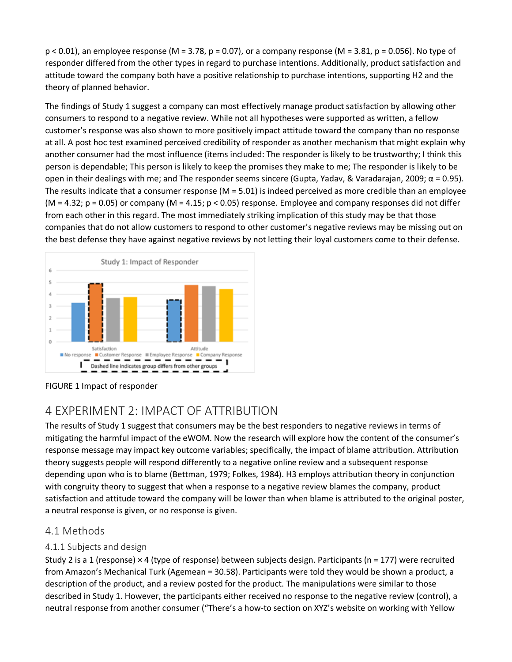$p < 0.01$ ), an employee response (M = 3.78, p = 0.07), or a company response (M = 3.81, p = 0.056). No type of responder differed from the other types in regard to purchase intentions. Additionally, product satisfaction and attitude toward the company both have a positive relationship to purchase intentions, supporting H2 and the theory of planned behavior.

The findings of Study 1 suggest a company can most effectively manage product satisfaction by allowing other consumers to respond to a negative review. While not all hypotheses were supported as written, a fellow customer's response was also shown to more positively impact attitude toward the company than no response at all. A post hoc test examined perceived credibility of responder as another mechanism that might explain why another consumer had the most influence (items included: The responder is likely to be trustworthy; I think this person is dependable; This person is likely to keep the promises they make to me; The responder is likely to be open in their dealings with me; and The responder seems sincere (Gupta, Yadav, & Varadarajan, 2009;  $\alpha$  = 0.95). The results indicate that a consumer response  $(M = 5.01)$  is indeed perceived as more credible than an employee ( $M = 4.32$ ;  $p = 0.05$ ) or company ( $M = 4.15$ ;  $p < 0.05$ ) response. Employee and company responses did not differ from each other in this regard. The most immediately striking implication of this study may be that those companies that do not allow customers to respond to other customer's negative reviews may be missing out on the best defense they have against negative reviews by not letting their loyal customers come to their defense.



FIGURE 1 Impact of responder

### 4 EXPERIMENT 2: IMPACT OF ATTRIBUTION

The results of Study 1 suggest that consumers may be the best responders to negative reviews in terms of mitigating the harmful impact of the eWOM. Now the research will explore how the content of the consumer's response message may impact key outcome variables; specifically, the impact of blame attribution. Attribution theory suggests people will respond differently to a negative online review and a subsequent response depending upon who is to blame (Bettman, 1979; Folkes, 1984). H3 employs attribution theory in conjunction with congruity theory to suggest that when a response to a negative review blames the company, product satisfaction and attitude toward the company will be lower than when blame is attributed to the original poster, a neutral response is given, or no response is given.

### 4.1 Methods

### 4.1.1 Subjects and design

Study 2 is a 1 (response) × 4 (type of response) between subjects design. Participants (n = 177) were recruited from Amazon's Mechanical Turk (Agemean = 30.58). Participants were told they would be shown a product, a description of the product, and a review posted for the product. The manipulations were similar to those described in Study 1. However, the participants either received no response to the negative review (control), a neutral response from another consumer ("There's a how-to section on XYZ's website on working with Yellow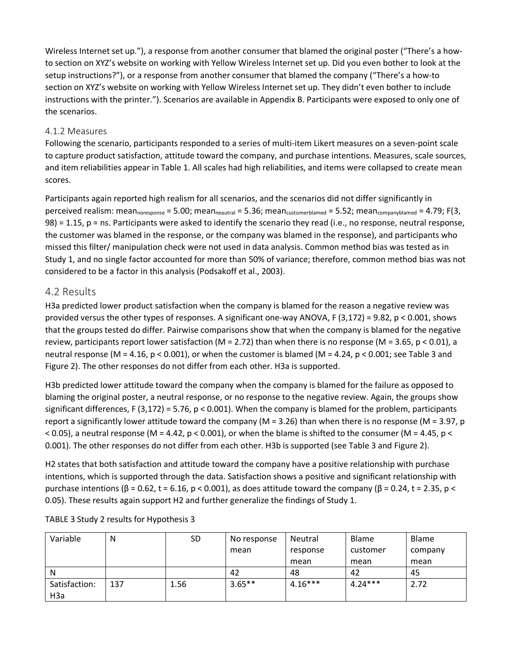Wireless Internet set up."), a response from another consumer that blamed the original poster ("There's a howto section on XYZ's website on working with Yellow Wireless Internet set up. Did you even bother to look at the setup instructions?"), or a response from another consumer that blamed the company ("There's a how-to section on XYZ's website on working with Yellow Wireless Internet set up. They didn't even bother to include instructions with the printer."). Scenarios are available in Appendix B. Participants were exposed to only one of the scenarios.

#### 4.1.2 Measures

Following the scenario, participants responded to a series of multi-item Likert measures on a seven-point scale to capture product satisfaction, attitude toward the company, and purchase intentions. Measures, scale sources, and item reliabilities appear in Table 1. All scales had high reliabilities, and items were collapsed to create mean scores.

Participants again reported high realism for all scenarios, and the scenarios did not differ significantly in perceived realism: mean<sub>noresponse</sub> = 5.00; mean<sub>neautral</sub> = 5.36; mean<sub>customerblamed</sub> = 5.52; mean<sub>companyblamed</sub> = 4.79; F(3, 98) = 1.15, p = ns. Participants were asked to identify the scenario they read (i.e., no response, neutral response, the customer was blamed in the response, or the company was blamed in the response), and participants who missed this filter/ manipulation check were not used in data analysis. Common method bias was tested as in Study 1, and no single factor accounted for more than 50% of variance; therefore, common method bias was not considered to be a factor in this analysis (Podsakoff et al., 2003).

#### 4.2 Results

H3a predicted lower product satisfaction when the company is blamed for the reason a negative review was provided versus the other types of responses. A significant one-way ANOVA, F (3,172) = 9.82, p < 0.001, shows that the groups tested do differ. Pairwise comparisons show that when the company is blamed for the negative review, participants report lower satisfaction (M = 2.72) than when there is no response (M = 3.65,  $p < 0.01$ ), a neutral response (M = 4.16, p < 0.001), or when the customer is blamed (M = 4.24, p < 0.001; see Table 3 and Figure 2). The other responses do not differ from each other. H3a is supported.

H3b predicted lower attitude toward the company when the company is blamed for the failure as opposed to blaming the original poster, a neutral response, or no response to the negative review. Again, the groups show significant differences, F (3,172) = 5.76, p < 0.001). When the company is blamed for the problem, participants report a significantly lower attitude toward the company (M = 3.26) than when there is no response (M = 3.97, p  $<$  0.05), a neutral response (M = 4.42, p  $<$  0.001), or when the blame is shifted to the consumer (M = 4.45, p  $<$ 0.001). The other responses do not differ from each other. H3b is supported (see Table 3 and Figure 2).

H2 states that both satisfaction and attitude toward the company have a positive relationship with purchase intentions, which is supported through the data. Satisfaction shows a positive and significant relationship with purchase intentions (β = 0.62, t = 6.16, p < 0.001), as does attitude toward the company (β = 0.24, t = 2.35, p < 0.05). These results again support H2 and further generalize the findings of Study 1.

| Variable         | N   | <b>SD</b> | No response | Neutral   | <b>Blame</b> | <b>Blame</b> |
|------------------|-----|-----------|-------------|-----------|--------------|--------------|
|                  |     |           | mean        | response  | customer     | company      |
|                  |     |           |             | mean      | mean         | mean         |
| N                |     |           | 42          | 48        | 42           | 45           |
| Satisfaction:    | 137 | 1.56      | $3.65***$   | $4.16***$ | $4.24***$    | 2.72         |
| H <sub>3</sub> a |     |           |             |           |              |              |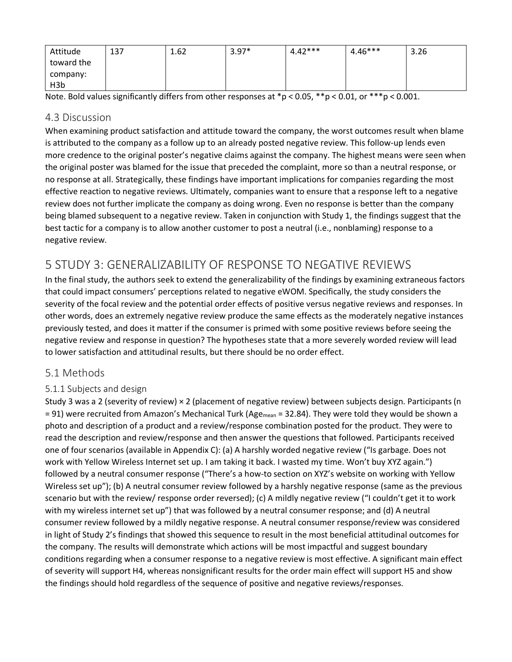| Attitude         | 137 | 1.62 | $3.97*$ | $4.42***$ | $4.46***$ | 3.26 |
|------------------|-----|------|---------|-----------|-----------|------|
| toward the       |     |      |         |           |           |      |
| company:         |     |      |         |           |           |      |
| H <sub>3</sub> b |     |      |         |           |           |      |

Note. Bold values significantly differs from other responses at \*p < 0.05, \*\*p < 0.01, or \*\*\*p < 0.001.

### 4.3 Discussion

When examining product satisfaction and attitude toward the company, the worst outcomes result when blame is attributed to the company as a follow up to an already posted negative review. This follow-up lends even more credence to the original poster's negative claims against the company. The highest means were seen when the original poster was blamed for the issue that preceded the complaint, more so than a neutral response, or no response at all. Strategically, these findings have important implications for companies regarding the most effective reaction to negative reviews. Ultimately, companies want to ensure that a response left to a negative review does not further implicate the company as doing wrong. Even no response is better than the company being blamed subsequent to a negative review. Taken in conjunction with Study 1, the findings suggest that the best tactic for a company is to allow another customer to post a neutral (i.e., nonblaming) response to a negative review.

### 5 STUDY 3: GENERALIZABILITY OF RESPONSE TO NEGATIVE REVIEWS

In the final study, the authors seek to extend the generalizability of the findings by examining extraneous factors that could impact consumers' perceptions related to negative eWOM. Specifically, the study considers the severity of the focal review and the potential order effects of positive versus negative reviews and responses. In other words, does an extremely negative review produce the same effects as the moderately negative instances previously tested, and does it matter if the consumer is primed with some positive reviews before seeing the negative review and response in question? The hypotheses state that a more severely worded review will lead to lower satisfaction and attitudinal results, but there should be no order effect.

### 5.1 Methods

### 5.1.1 Subjects and design

Study 3 was a 2 (severity of review) × 2 (placement of negative review) between subjects design. Participants (n  $= 91$ ) were recruited from Amazon's Mechanical Turk (Age<sub>mean</sub> = 32.84). They were told they would be shown a photo and description of a product and a review/response combination posted for the product. They were to read the description and review/response and then answer the questions that followed. Participants received one of four scenarios (available in Appendix C): (a) A harshly worded negative review ("Is garbage. Does not work with Yellow Wireless Internet set up. I am taking it back. I wasted my time. Won't buy XYZ again.") followed by a neutral consumer response ("There's a how-to section on XYZ's website on working with Yellow Wireless set up"); (b) A neutral consumer review followed by a harshly negative response (same as the previous scenario but with the review/ response order reversed); (c) A mildly negative review ("I couldn't get it to work with my wireless internet set up") that was followed by a neutral consumer response; and (d) A neutral consumer review followed by a mildly negative response. A neutral consumer response/review was considered in light of Study 2's findings that showed this sequence to result in the most beneficial attitudinal outcomes for the company. The results will demonstrate which actions will be most impactful and suggest boundary conditions regarding when a consumer response to a negative review is most effective. A significant main effect of severity will support H4, whereas nonsignificant results for the order main effect will support H5 and show the findings should hold regardless of the sequence of positive and negative reviews/responses.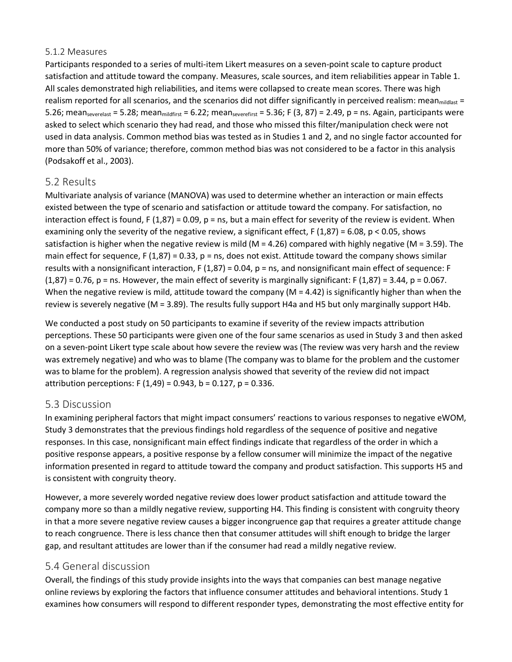#### 5.1.2 Measures

Participants responded to a series of multi-item Likert measures on a seven-point scale to capture product satisfaction and attitude toward the company. Measures, scale sources, and item reliabilities appear in Table 1. All scales demonstrated high reliabilities, and items were collapsed to create mean scores. There was high realism reported for all scenarios, and the scenarios did not differ significantly in perceived realism: mean<sub>mildlast</sub> = 5.26; meanseverelast = 5.28; mean $_{midifist}$  = 6.22; meanseverefirst = 5.36; F (3, 87) = 2.49, p = ns. Again, participants were asked to select which scenario they had read, and those who missed this filter/manipulation check were not used in data analysis. Common method bias was tested as in Studies 1 and 2, and no single factor accounted for more than 50% of variance; therefore, common method bias was not considered to be a factor in this analysis (Podsakoff et al., 2003).

### 5.2 Results

Multivariate analysis of variance (MANOVA) was used to determine whether an interaction or main effects existed between the type of scenario and satisfaction or attitude toward the company. For satisfaction, no interaction effect is found, F  $(1,87) = 0.09$ , p = ns, but a main effect for severity of the review is evident. When examining only the severity of the negative review, a significant effect, F  $(1,87) = 6.08$ , p < 0.05, shows satisfaction is higher when the negative review is mild ( $M = 4.26$ ) compared with highly negative ( $M = 3.59$ ). The main effect for sequence, F  $(1,87) = 0.33$ , p = ns, does not exist. Attitude toward the company shows similar results with a nonsignificant interaction, F (1,87) = 0.04, p = ns, and nonsignificant main effect of sequence: F  $(1,87) = 0.76$ , p = ns. However, the main effect of severity is marginally significant: F  $(1,87) = 3.44$ , p = 0.067. When the negative review is mild, attitude toward the company ( $M = 4.42$ ) is significantly higher than when the review is severely negative (M = 3.89). The results fully support H4a and H5 but only marginally support H4b.

We conducted a post study on 50 participants to examine if severity of the review impacts attribution perceptions. These 50 participants were given one of the four same scenarios as used in Study 3 and then asked on a seven-point Likert type scale about how severe the review was (The review was very harsh and the review was extremely negative) and who was to blame (The company was to blame for the problem and the customer was to blame for the problem). A regression analysis showed that severity of the review did not impact attribution perceptions: F  $(1,49) = 0.943$ , b = 0.127, p = 0.336.

### 5.3 Discussion

In examining peripheral factors that might impact consumers' reactions to various responses to negative eWOM, Study 3 demonstrates that the previous findings hold regardless of the sequence of positive and negative responses. In this case, nonsignificant main effect findings indicate that regardless of the order in which a positive response appears, a positive response by a fellow consumer will minimize the impact of the negative information presented in regard to attitude toward the company and product satisfaction. This supports H5 and is consistent with congruity theory.

However, a more severely worded negative review does lower product satisfaction and attitude toward the company more so than a mildly negative review, supporting H4. This finding is consistent with congruity theory in that a more severe negative review causes a bigger incongruence gap that requires a greater attitude change to reach congruence. There is less chance then that consumer attitudes will shift enough to bridge the larger gap, and resultant attitudes are lower than if the consumer had read a mildly negative review.

### 5.4 General discussion

Overall, the findings of this study provide insights into the ways that companies can best manage negative online reviews by exploring the factors that influence consumer attitudes and behavioral intentions. Study 1 examines how consumers will respond to different responder types, demonstrating the most effective entity for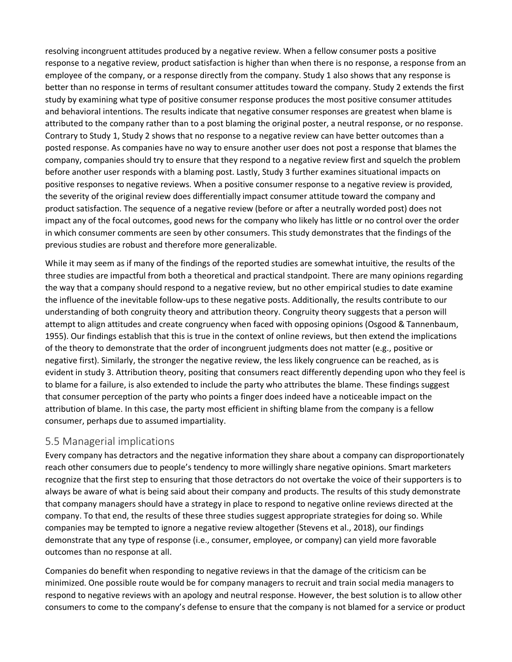resolving incongruent attitudes produced by a negative review. When a fellow consumer posts a positive response to a negative review, product satisfaction is higher than when there is no response, a response from an employee of the company, or a response directly from the company. Study 1 also shows that any response is better than no response in terms of resultant consumer attitudes toward the company. Study 2 extends the first study by examining what type of positive consumer response produces the most positive consumer attitudes and behavioral intentions. The results indicate that negative consumer responses are greatest when blame is attributed to the company rather than to a post blaming the original poster, a neutral response, or no response. Contrary to Study 1, Study 2 shows that no response to a negative review can have better outcomes than a posted response. As companies have no way to ensure another user does not post a response that blames the company, companies should try to ensure that they respond to a negative review first and squelch the problem before another user responds with a blaming post. Lastly, Study 3 further examines situational impacts on positive responses to negative reviews. When a positive consumer response to a negative review is provided, the severity of the original review does differentially impact consumer attitude toward the company and product satisfaction. The sequence of a negative review (before or after a neutrally worded post) does not impact any of the focal outcomes, good news for the company who likely has little or no control over the order in which consumer comments are seen by other consumers. This study demonstrates that the findings of the previous studies are robust and therefore more generalizable.

While it may seem as if many of the findings of the reported studies are somewhat intuitive, the results of the three studies are impactful from both a theoretical and practical standpoint. There are many opinions regarding the way that a company should respond to a negative review, but no other empirical studies to date examine the influence of the inevitable follow-ups to these negative posts. Additionally, the results contribute to our understanding of both congruity theory and attribution theory. Congruity theory suggests that a person will attempt to align attitudes and create congruency when faced with opposing opinions (Osgood & Tannenbaum, 1955). Our findings establish that this is true in the context of online reviews, but then extend the implications of the theory to demonstrate that the order of incongruent judgments does not matter (e.g., positive or negative first). Similarly, the stronger the negative review, the less likely congruence can be reached, as is evident in study 3. Attribution theory, positing that consumers react differently depending upon who they feel is to blame for a failure, is also extended to include the party who attributes the blame. These findings suggest that consumer perception of the party who points a finger does indeed have a noticeable impact on the attribution of blame. In this case, the party most efficient in shifting blame from the company is a fellow consumer, perhaps due to assumed impartiality.

### 5.5 Managerial implications

Every company has detractors and the negative information they share about a company can disproportionately reach other consumers due to people's tendency to more willingly share negative opinions. Smart marketers recognize that the first step to ensuring that those detractors do not overtake the voice of their supporters is to always be aware of what is being said about their company and products. The results of this study demonstrate that company managers should have a strategy in place to respond to negative online reviews directed at the company. To that end, the results of these three studies suggest appropriate strategies for doing so. While companies may be tempted to ignore a negative review altogether (Stevens et al., 2018), our findings demonstrate that any type of response (i.e., consumer, employee, or company) can yield more favorable outcomes than no response at all.

Companies do benefit when responding to negative reviews in that the damage of the criticism can be minimized. One possible route would be for company managers to recruit and train social media managers to respond to negative reviews with an apology and neutral response. However, the best solution is to allow other consumers to come to the company's defense to ensure that the company is not blamed for a service or product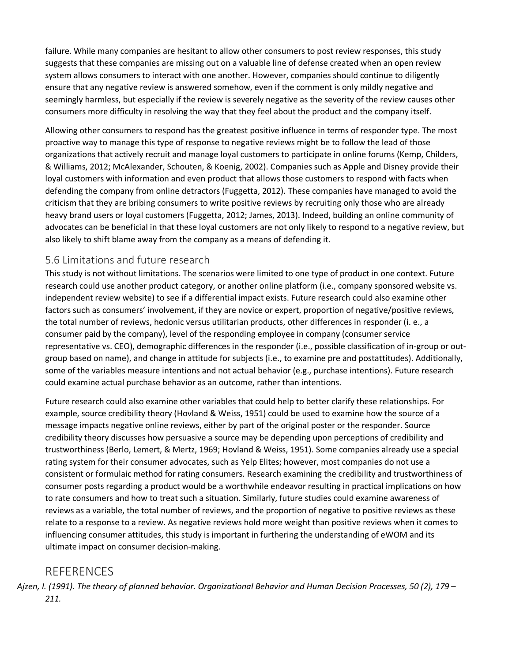failure. While many companies are hesitant to allow other consumers to post review responses, this study suggests that these companies are missing out on a valuable line of defense created when an open review system allows consumers to interact with one another. However, companies should continue to diligently ensure that any negative review is answered somehow, even if the comment is only mildly negative and seemingly harmless, but especially if the review is severely negative as the severity of the review causes other consumers more difficulty in resolving the way that they feel about the product and the company itself.

Allowing other consumers to respond has the greatest positive influence in terms of responder type. The most proactive way to manage this type of response to negative reviews might be to follow the lead of those organizations that actively recruit and manage loyal customers to participate in online forums (Kemp, Childers, & Williams, 2012; McAlexander, Schouten, & Koenig, 2002). Companies such as Apple and Disney provide their loyal customers with information and even product that allows those customers to respond with facts when defending the company from online detractors (Fuggetta, 2012). These companies have managed to avoid the criticism that they are bribing consumers to write positive reviews by recruiting only those who are already heavy brand users or loyal customers (Fuggetta, 2012; James, 2013). Indeed, building an online community of advocates can be beneficial in that these loyal customers are not only likely to respond to a negative review, but also likely to shift blame away from the company as a means of defending it.

### 5.6 Limitations and future research

This study is not without limitations. The scenarios were limited to one type of product in one context. Future research could use another product category, or another online platform (i.e., company sponsored website vs. independent review website) to see if a differential impact exists. Future research could also examine other factors such as consumers' involvement, if they are novice or expert, proportion of negative/positive reviews, the total number of reviews, hedonic versus utilitarian products, other differences in responder (i. e., a consumer paid by the company), level of the responding employee in company (consumer service representative vs. CEO), demographic differences in the responder (i.e., possible classification of in-group or outgroup based on name), and change in attitude for subjects (i.e., to examine pre and postattitudes). Additionally, some of the variables measure intentions and not actual behavior (e.g., purchase intentions). Future research could examine actual purchase behavior as an outcome, rather than intentions.

Future research could also examine other variables that could help to better clarify these relationships. For example, source credibility theory (Hovland & Weiss, 1951) could be used to examine how the source of a message impacts negative online reviews, either by part of the original poster or the responder. Source credibility theory discusses how persuasive a source may be depending upon perceptions of credibility and trustworthiness (Berlo, Lemert, & Mertz, 1969; Hovland & Weiss, 1951). Some companies already use a special rating system for their consumer advocates, such as Yelp Elites; however, most companies do not use a consistent or formulaic method for rating consumers. Research examining the credibility and trustworthiness of consumer posts regarding a product would be a worthwhile endeavor resulting in practical implications on how to rate consumers and how to treat such a situation. Similarly, future studies could examine awareness of reviews as a variable, the total number of reviews, and the proportion of negative to positive reviews as these relate to a response to a review. As negative reviews hold more weight than positive reviews when it comes to influencing consumer attitudes, this study is important in furthering the understanding of eWOM and its ultimate impact on consumer decision-making.

### **REFERENCES**

*Ajzen, I. (1991). The theory of planned behavior. Organizational Behavior and Human Decision Processes, 50 (2), 179 – 211.*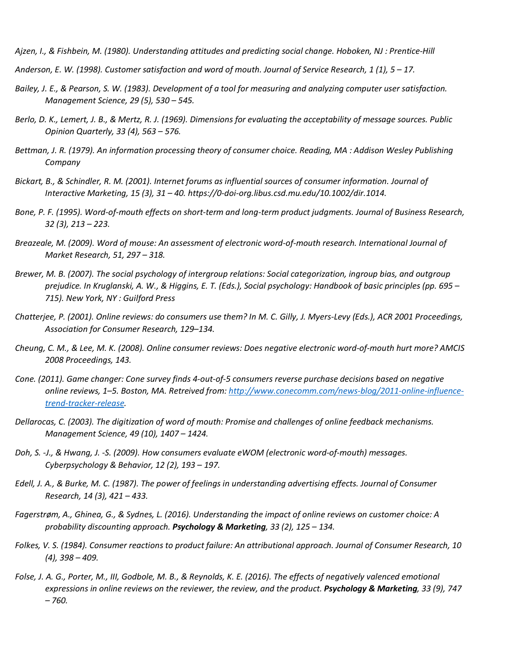*Ajzen, I., & Fishbein, M. (1980). Understanding attitudes and predicting social change. Hoboken, NJ : Prentice‐Hill*

- *Anderson, E. W. (1998). Customer satisfaction and word of mouth. Journal of Service Research, 1 (1), 5 – 17.*
- *Bailey, J. E., & Pearson, S. W. (1983). Development of a tool for measuring and analyzing computer user satisfaction. Management Science, 29 (5), 530 – 545.*
- *Berlo, D. K., Lemert, J. B., & Mertz, R. J. (1969). Dimensions for evaluating the acceptability of message sources. Public Opinion Quarterly, 33 (4), 563 – 576.*
- *Bettman, J. R. (1979). An information processing theory of consumer choice. Reading, MA : Addison Wesley Publishing Company*
- *Bickart, B., & Schindler, R. M. (2001). Internet forums as influential sources of consumer information. Journal of Interactive Marketing, 15 (3), 31 – 40. https://0-doi-org.libus.csd.mu.edu/10.1002/dir.1014.*
- *Bone, P. F. (1995). Word‐of‐mouth effects on short‐term and long‐term product judgments. Journal of Business Research, 32 (3), 213 – 223.*
- *Breazeale, M. (2009). Word of mouse: An assessment of electronic word‐of‐mouth research. International Journal of Market Research, 51, 297 – 318.*
- *Brewer, M. B. (2007). The social psychology of intergroup relations: Social categorization, ingroup bias, and outgroup prejudice. In Kruglanski, A. W., & Higgins, E. T. (Eds.), Social psychology: Handbook of basic principles (pp. 695 – 715). New York, NY : Guilford Press*
- *Chatterjee, P. (2001). Online reviews: do consumers use them? In M. C. Gilly, J. Myers‐Levy (Eds.), ACR 2001 Proceedings, Association for Consumer Research, 129–134.*
- *Cheung, C. M., & Lee, M. K. (2008). Online consumer reviews: Does negative electronic word‐of‐mouth hurt more? AMCIS 2008 Proceedings, 143.*
- *Cone. (2011). Game changer: Cone survey finds 4‐out‐of‐5 consumers reverse purchase decisions based on negative online reviews, 1–5. Boston, MA. Retreived from: [http://www.conecomm.com/news-blog/2011-online-influence](http://www.conecomm.com/news-blog/2011-online-influence-trend-tracker-release)[trend-tracker-release.](http://www.conecomm.com/news-blog/2011-online-influence-trend-tracker-release)*
- *Dellarocas, C. (2003). The digitization of word of mouth: Promise and challenges of online feedback mechanisms. Management Science, 49 (10), 1407 – 1424.*
- *Doh, S. ‐J., & Hwang, J. ‐S. (2009). How consumers evaluate eWOM (electronic word‐of‐mouth) messages. Cyberpsychology & Behavior, 12 (2), 193 – 197.*
- *Edell, J. A., & Burke, M. C. (1987). The power of feelings in understanding advertising effects. Journal of Consumer Research, 14 (3), 421 – 433.*
- *Fagerstrøm, A., Ghinea, G., & Sydnes, L. (2016). Understanding the impact of online reviews on customer choice: A probability discounting approach. Psychology & Marketing, 33 (2), 125 – 134.*
- *Folkes, V. S. (1984). Consumer reactions to product failure: An attributional approach. Journal of Consumer Research, 10 (4), 398 – 409.*
- *Folse, J. A. G., Porter, M., III, Godbole, M. B., & Reynolds, K. E. (2016). The effects of negatively valenced emotional expressions in online reviews on the reviewer, the review, and the product. Psychology & Marketing, 33 (9), 747 – 760.*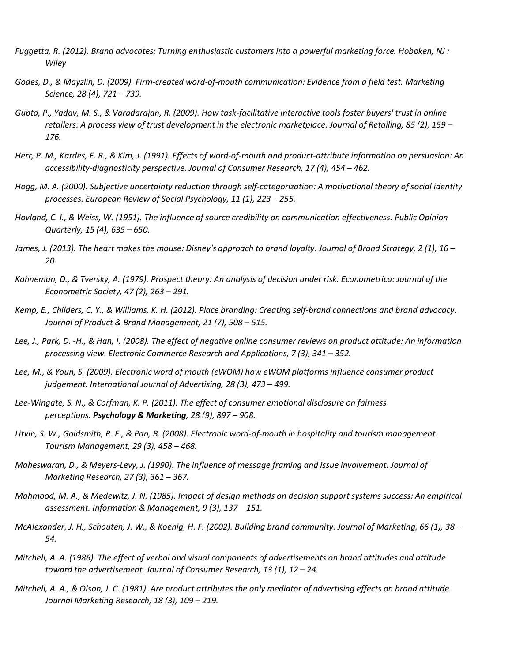- *Fuggetta, R. (2012). Brand advocates: Turning enthusiastic customers into a powerful marketing force. Hoboken, NJ : Wiley*
- *Godes, D., & Mayzlin, D. (2009). Firm‐created word‐of‐mouth communication: Evidence from a field test. Marketing Science, 28 (4), 721 – 739.*
- *Gupta, P., Yadav, M. S., & Varadarajan, R. (2009). How task‐facilitative interactive tools foster buyers' trust in online retailers: A process view of trust development in the electronic marketplace. Journal of Retailing, 85 (2), 159 – 176.*
- *Herr, P. M., Kardes, F. R., & Kim, J. (1991). Effects of word‐of‐mouth and product‐attribute information on persuasion: An accessibility‐diagnosticity perspective. Journal of Consumer Research, 17 (4), 454 – 462.*
- *Hogg, M. A. (2000). Subjective uncertainty reduction through self‐categorization: A motivational theory of social identity processes. European Review of Social Psychology, 11 (1), 223 – 255.*
- *Hovland, C. I., & Weiss, W. (1951). The influence of source credibility on communication effectiveness. Public Opinion Quarterly, 15 (4), 635 – 650.*
- *James, J. (2013). The heart makes the mouse: Disney's approach to brand loyalty. Journal of Brand Strategy, 2 (1), 16 – 20.*
- *Kahneman, D., & Tversky, A. (1979). Prospect theory: An analysis of decision under risk. Econometrica: Journal of the Econometric Society, 47 (2), 263 – 291.*
- *Kemp, E., Childers, C. Y., & Williams, K. H. (2012). Place branding: Creating self‐brand connections and brand advocacy. Journal of Product & Brand Management, 21 (7), 508 – 515.*
- *Lee, J., Park, D. ‐H., & Han, I. (2008). The effect of negative online consumer reviews on product attitude: An information processing view. Electronic Commerce Research and Applications, 7 (3), 341 – 352.*
- *Lee, M., & Youn, S. (2009). Electronic word of mouth (eWOM) how eWOM platforms influence consumer product judgement. International Journal of Advertising, 28 (3), 473 – 499.*
- *Lee‐Wingate, S. N., & Corfman, K. P. (2011). The effect of consumer emotional disclosure on fairness perceptions. Psychology & Marketing, 28 (9), 897 – 908.*
- *Litvin, S. W., Goldsmith, R. E., & Pan, B. (2008). Electronic word‐of‐mouth in hospitality and tourism management. Tourism Management, 29 (3), 458 – 468.*
- *Maheswaran, D., & Meyers‐Levy, J. (1990). The influence of message framing and issue involvement. Journal of Marketing Research, 27 (3), 361 – 367.*
- *Mahmood, M. A., & Medewitz, J. N. (1985). Impact of design methods on decision support systems success: An empirical assessment. Information & Management, 9 (3), 137 – 151.*
- *McAlexander, J. H., Schouten, J. W., & Koenig, H. F. (2002). Building brand community. Journal of Marketing, 66 (1), 38 – 54.*
- *Mitchell, A. A. (1986). The effect of verbal and visual components of advertisements on brand attitudes and attitude toward the advertisement. Journal of Consumer Research, 13 (1), 12 – 24.*
- *Mitchell, A. A., & Olson, J. C. (1981). Are product attributes the only mediator of advertising effects on brand attitude. Journal Marketing Research, 18 (3), 109 – 219.*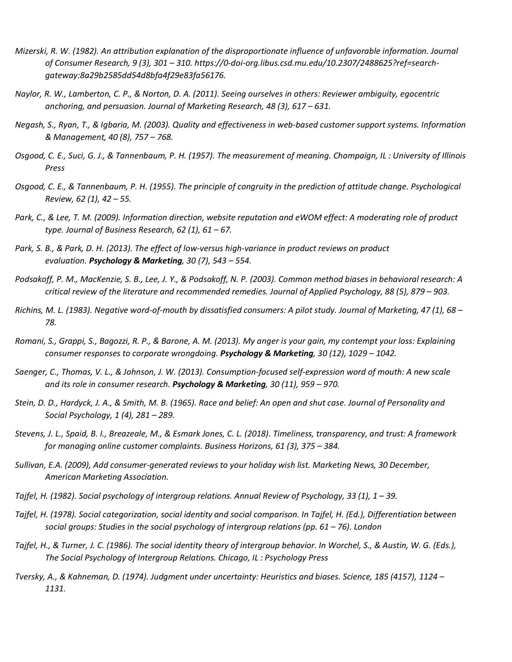- *Mizerski, R. W. (1982). An attribution explanation of the disproportionate influence of unfavorable information. Journal of Consumer Research, 9 (3), 301 – 310. https://0-doi-org.libus.csd.mu.edu/10.2307/2488625?ref=search‐ gateway:8a29b2585dd54d8bfa4f29e83fa56176.*
- *Naylor, R. W., Lamberton, C. P., & Norton, D. A. (2011). Seeing ourselves in others: Reviewer ambiguity, egocentric anchoring, and persuasion. Journal of Marketing Research, 48 (3), 617 – 631.*
- *Negash, S., Ryan, T., & Igbaria, M. (2003). Quality and effectiveness in web‐based customer support systems. Information & Management, 40 (8), 757 – 768.*
- *Osgood, C. E., Suci, G. J., & Tannenbaum, P. H. (1957). The measurement of meaning. Champaign, IL : University of Illinois Press*
- *Osgood, C. E., & Tannenbaum, P. H. (1955). The principle of congruity in the prediction of attitude change. Psychological Review, 62 (1), 42 – 55.*
- *Park, C., & Lee, T. M. (2009). Information direction, website reputation and eWOM effect: A moderating role of product type. Journal of Business Research, 62 (1), 61 – 67.*
- *Park, S. B., & Park, D. H. (2013). The effect of low‐versus high‐variance in product reviews on product evaluation. Psychology & Marketing, 30 (7), 543 – 554.*
- *Podsakoff, P. M., MacKenzie, S. B., Lee, J. Y., & Podsakoff, N. P. (2003). Common method biases in behavioral research: A critical review of the literature and recommended remedies. Journal of Applied Psychology, 88 (5), 879 – 903.*
- *Richins, M. L. (1983). Negative word‐of‐mouth by dissatisfied consumers: A pilot study. Journal of Marketing, 47 (1), 68 – 78.*
- *Romani, S., Grappi, S., Bagozzi, R. P., & Barone, A. M. (2013). My anger is your gain, my contempt your loss: Explaining consumer responses to corporate wrongdoing. Psychology & Marketing, 30 (12), 1029 – 1042.*
- *Saenger, C., Thomas, V. L., & Johnson, J. W. (2013). Consumption‐focused self‐expression word of mouth: A new scale and its role in consumer research. Psychology & Marketing, 30 (11), 959 – 970.*
- *Stein, D. D., Hardyck, J. A., & Smith, M. B. (1965). Race and belief: An open and shut case. Journal of Personality and Social Psychology, 1 (4), 281 – 289.*
- *Stevens, J. L., Spaid, B. I., Breazeale, M., & Esmark Jones, C. L. (2018). Timeliness, transparency, and trust: A framework for managing online customer complaints. Business Horizons, 61 (3), 375 – 384.*
- *Sullivan, E.A. (2009), Add consumer‐generated reviews to your holiday wish list. Marketing News, 30 December, American Marketing Association.*
- *Tajfel, H. (1982). Social psychology of intergroup relations. Annual Review of Psychology, 33 (1), 1 – 39.*
- *Tajfel, H. (1978). Social categorization, social identity and social comparison. In Tajfel, H. (Ed.), Differentiation between social groups: Studies in the social psychology of intergroup relations (pp. 61 – 76). London*
- *Tajfel, H., & Turner, J. C. (1986). The social identity theory of intergroup behavior. In Worchel, S., & Austin, W. G. (Eds.), The Social Psychology of Intergroup Relations. Chicago, IL : Psychology Press*
- *Tversky, A., & Kahneman, D. (1974). Judgment under uncertainty: Heuristics and biases. Science, 185 (4157), 1124 – 1131.*